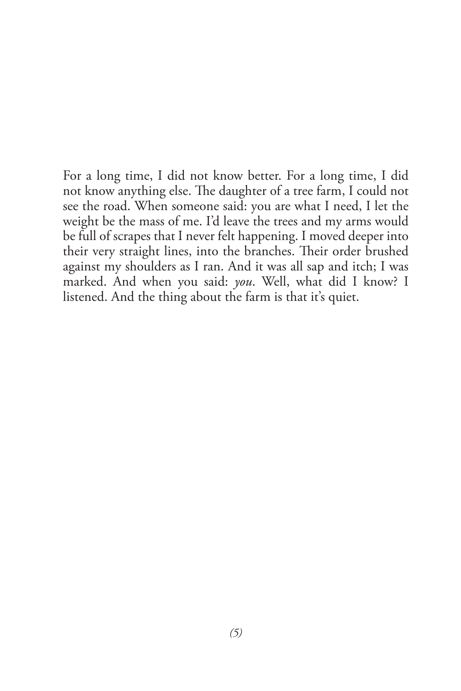For a long time, I did not know better. For a long time, I did not know anything else. The daughter of a tree farm, I could not see the road. When someone said: you are what I need, I let the weight be the mass of me. I'd leave the trees and my arms would be full of scrapes that I never felt happening. I moved deeper into their very straight lines, into the branches. Their order brushed against my shoulders as I ran. And it was all sap and itch; I was marked. And when you said: *you*. Well, what did I know? I listened. And the thing about the farm is that it's quiet.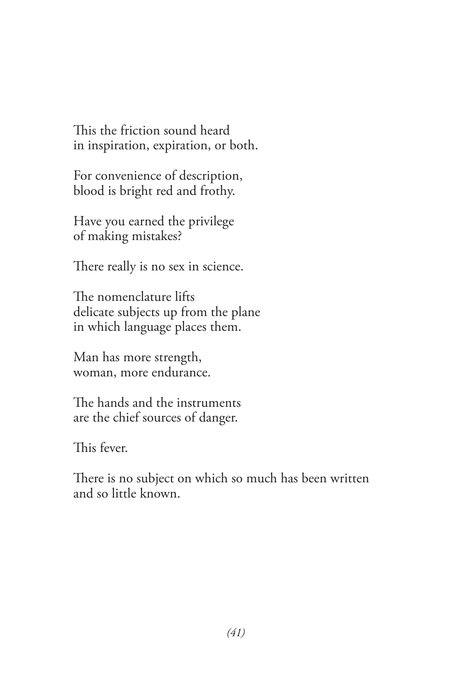This the friction sound heard in inspiration, expiration, or both.

For convenience of description, blood is bright red and frothy.

Have you earned the privilege of making mistakes?

There really is no sex in science.

The nomenclature lifts delicate subjects up from the plane in which language places them.

Man has more strength, woman, more endurance.

The hands and the instruments are the chief sources of danger.

This fever.

There is no subject on which so much has been written and so little known.